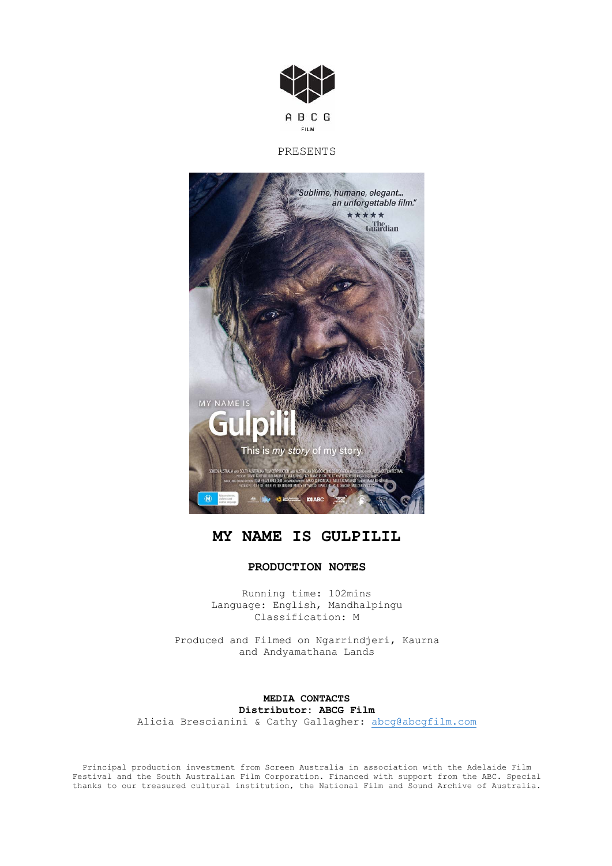

# PRESENTS



# **MY NAME IS GULPILIL**

# **PRODUCTION NOTES**

Running time: 102mins Language: English, Mandhalpingu Classification: M

Produced and Filmed on Ngarrindjeri, Kaurna and Andyamathana Lands

**MEDIA CONTACTS Distributor: ABCG Film** Alicia Brescianini & Cathy Gallagher: abcg@abcgfilm.com

Principal production investment from Screen Australia in association with the Adelaide Film Festival and the South Australian Film Corporation. Financed with support from the ABC. Special thanks to our treasured cultural institution, the National Film and Sound Archive of Australia.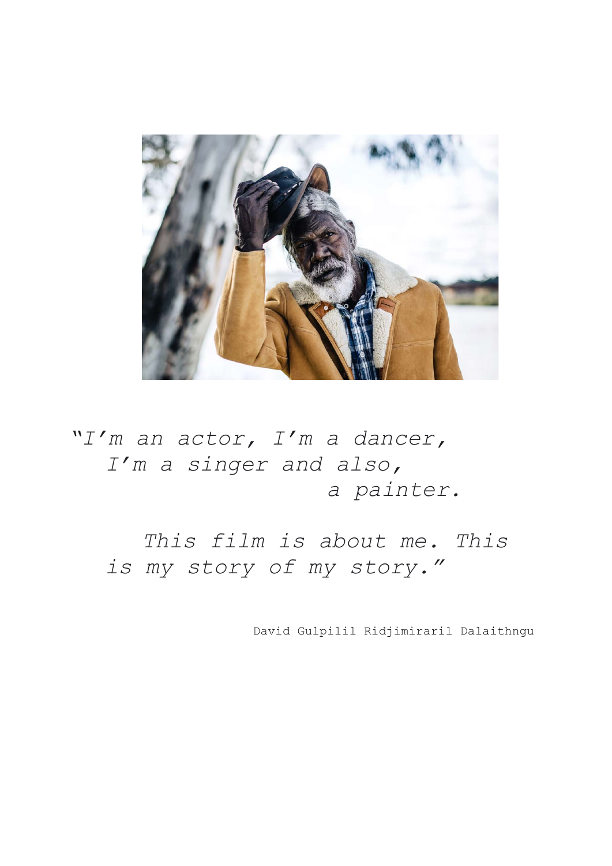

*"I'm an actor, I'm a dancer, I'm a singer and also, a painter.*

*This film is about me. This is my story of my story."*

David Gulpilil Ridjimiraril Dalaithngu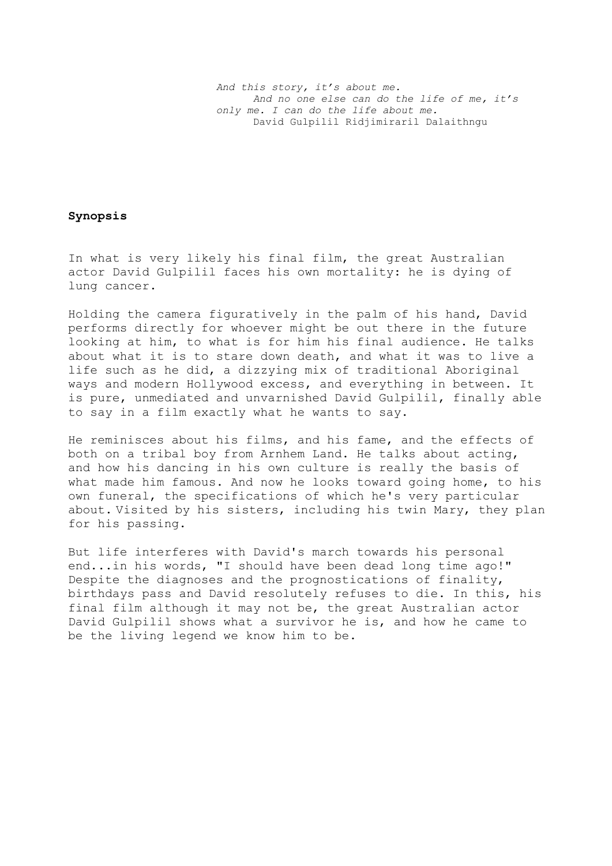## **Synopsis**

In what is very likely his final film, the great Australian actor David Gulpilil faces his own mortality: he is dying of lung cancer.

Holding the camera figuratively in the palm of his hand, David performs directly for whoever might be out there in the future looking at him, to what is for him his final audience. He talks about what it is to stare down death, and what it was to live a life such as he did, a dizzying mix of traditional Aboriginal ways and modern Hollywood excess, and everything in between. It is pure, unmediated and unvarnished David Gulpilil, finally able to say in a film exactly what he wants to say.

He reminisces about his films, and his fame, and the effects of both on a tribal boy from Arnhem Land. He talks about acting, and how his dancing in his own culture is really the basis of what made him famous. And now he looks toward going home, to his own funeral, the specifications of which he's very particular about. Visited by his sisters, including his twin Mary, they plan for his passing.

But life interferes with David's march towards his personal end...in his words, "I should have been dead long time ago!" Despite the diagnoses and the prognostications of finality, birthdays pass and David resolutely refuses to die. In this, his final film although it may not be, the great Australian actor David Gulpilil shows what a survivor he is, and how he came to be the living legend we know him to be.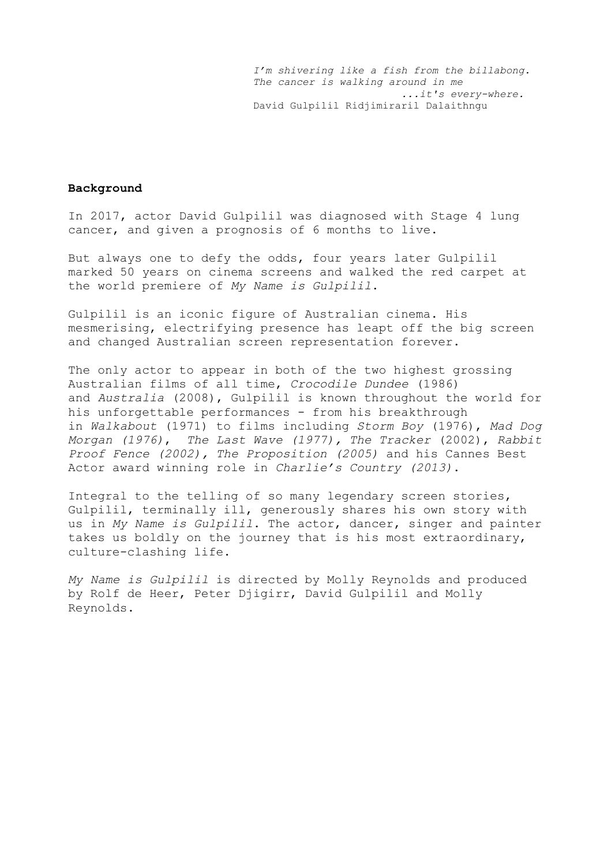*I'm shivering like a fish from the billabong. The cancer is walking around in me ...it's every-where.* David Gulpilil Ridjimiraril Dalaithngu

## **Background**

In 2017, actor David Gulpilil was diagnosed with Stage 4 lung cancer, and given a prognosis of 6 months to live.

But always one to defy the odds, four years later Gulpilil marked 50 years on cinema screens and walked the red carpet at the world premiere of *My Name is Gulpilil*.

Gulpilil is an iconic figure of Australian cinema. His mesmerising, electrifying presence has leapt off the big screen and changed Australian screen representation forever.

The only actor to appear in both of the two highest grossing Australian films of all time, *Crocodile Dundee* (1986) and *Australia* (2008), Gulpilil is known throughout the world for his unforgettable performances - from his breakthrough in *Walkabout* (1971) to films including *Storm Boy* (1976), *Mad Dog Morgan (1976)*, *The Last Wave (1977), The Tracker* (2002), *Rabbit Proof Fence (2002), The Proposition (2005)* and his Cannes Best Actor award winning role in *Charlie's Country (2013)*.

Integral to the telling of so many legendary screen stories, Gulpilil, terminally ill, generously shares his own story with us in *My Name is Gulpilil*. The actor, dancer, singer and painter takes us boldly on the journey that is his most extraordinary, culture-clashing life.

*My Name is Gulpilil* is directed by Molly Reynolds and produced by Rolf de Heer, Peter Djigirr, David Gulpilil and Molly Reynolds.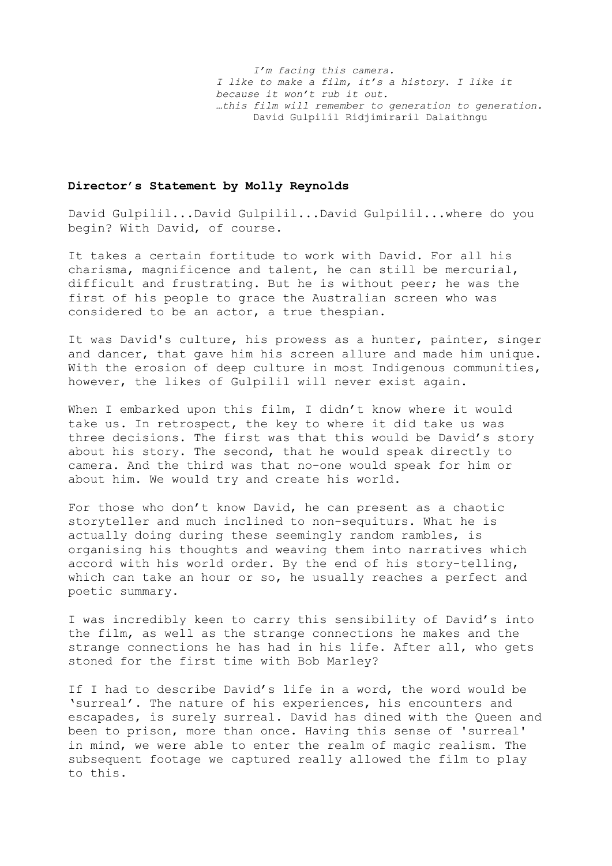*I'm facing this camera. I like to make a film, it's a history. I like it because it won't rub it out. …this film will remember to generation to generation.* David Gulpilil Ridjimiraril Dalaithngu

## **Director's Statement by Molly Reynolds**

David Gulpilil...David Gulpilil...David Gulpilil...where do you begin? With David, of course.

It takes a certain fortitude to work with David. For all his charisma, magnificence and talent, he can still be mercurial, difficult and frustrating. But he is without peer; he was the first of his people to grace the Australian screen who was considered to be an actor, a true thespian.

It was David's culture, his prowess as a hunter, painter, singer and dancer, that gave him his screen allure and made him unique. With the erosion of deep culture in most Indigenous communities, however, the likes of Gulpilil will never exist again.

When I embarked upon this film, I didn't know where it would take us. In retrospect, the key to where it did take us was three decisions. The first was that this would be David's story about his story. The second, that he would speak directly to camera. And the third was that no-one would speak for him or about him. We would try and create his world.

For those who don't know David, he can present as a chaotic storyteller and much inclined to non-sequiturs. What he is actually doing during these seemingly random rambles, is organising his thoughts and weaving them into narratives which accord with his world order. By the end of his story-telling, which can take an hour or so, he usually reaches a perfect and poetic summary.

I was incredibly keen to carry this sensibility of David's into the film, as well as the strange connections he makes and the strange connections he has had in his life. After all, who gets stoned for the first time with Bob Marley?

If I had to describe David's life in a word, the word would be 'surreal'. The nature of his experiences, his encounters and escapades, is surely surreal. David has dined with the Queen and been to prison, more than once. Having this sense of 'surreal' in mind, we were able to enter the realm of magic realism. The subsequent footage we captured really allowed the film to play to this.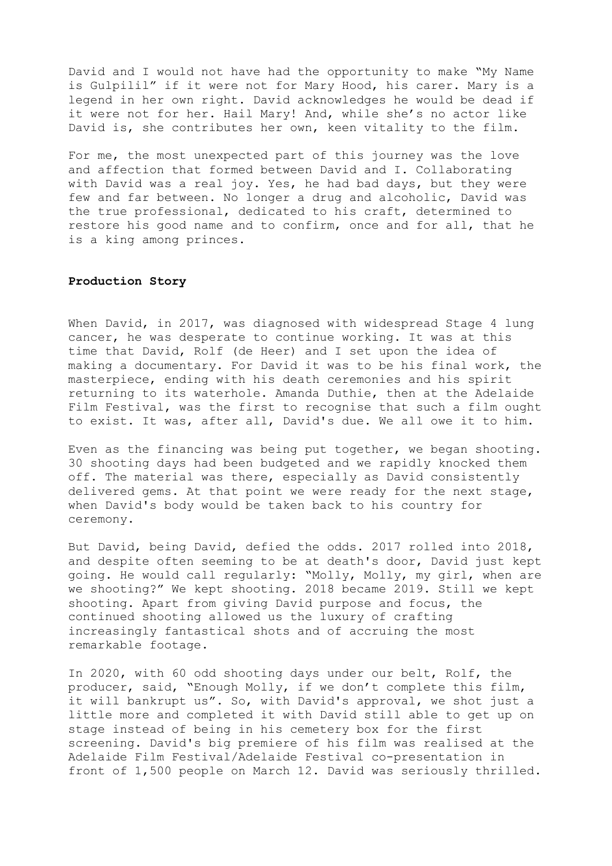David and I would not have had the opportunity to make "My Name is Gulpilil" if it were not for Mary Hood, his carer. Mary is a legend in her own right. David acknowledges he would be dead if it were not for her. Hail Mary! And, while she's no actor like David is, she contributes her own, keen vitality to the film.

For me, the most unexpected part of this journey was the love and affection that formed between David and I. Collaborating with David was a real joy. Yes, he had bad days, but they were few and far between. No longer a drug and alcoholic, David was the true professional, dedicated to his craft, determined to restore his good name and to confirm, once and for all, that he is a king among princes.

#### **Production Story**

When David, in 2017, was diagnosed with widespread Stage 4 lung cancer, he was desperate to continue working. It was at this time that David, Rolf (de Heer) and I set upon the idea of making a documentary. For David it was to be his final work, the masterpiece, ending with his death ceremonies and his spirit returning to its waterhole. Amanda Duthie, then at the Adelaide Film Festival, was the first to recognise that such a film ought to exist. It was, after all, David's due. We all owe it to him.

Even as the financing was being put together, we began shooting. 30 shooting days had been budgeted and we rapidly knocked them off. The material was there, especially as David consistently delivered gems. At that point we were ready for the next stage, when David's body would be taken back to his country for ceremony.

But David, being David, defied the odds. 2017 rolled into 2018, and despite often seeming to be at death's door, David just kept going. He would call regularly: "Molly, Molly, my girl, when are we shooting?" We kept shooting. 2018 became 2019. Still we kept shooting. Apart from giving David purpose and focus, the continued shooting allowed us the luxury of crafting increasingly fantastical shots and of accruing the most remarkable footage.

In 2020, with 60 odd shooting days under our belt, Rolf, the producer, said, "Enough Molly, if we don't complete this film, it will bankrupt us". So, with David's approval, we shot just a little more and completed it with David still able to get up on stage instead of being in his cemetery box for the first screening. David's big premiere of his film was realised at the Adelaide Film Festival/Adelaide Festival co-presentation in front of 1,500 people on March 12. David was seriously thrilled.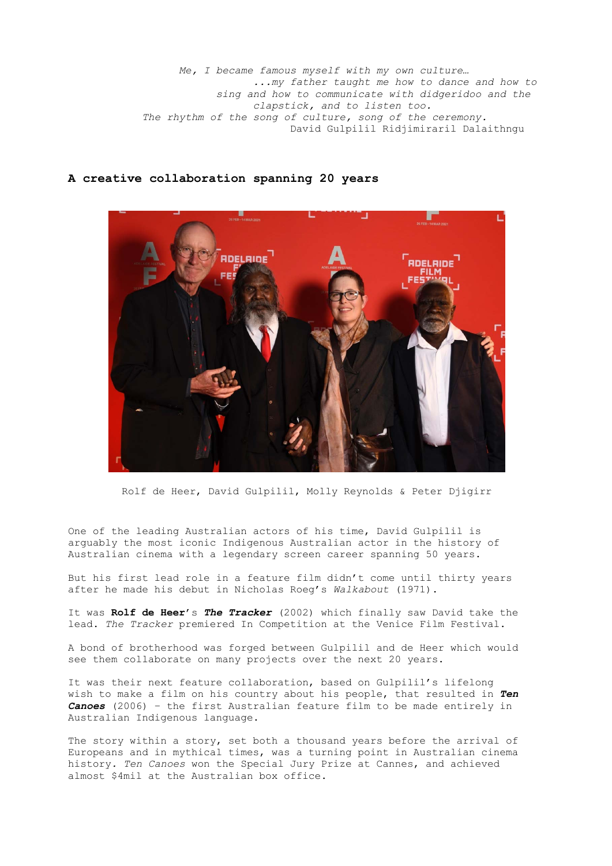*Me, I became famous myself with my own culture… ...my father taught me how to dance and how to sing and how to communicate with didgeridoo and the clapstick, and to listen too. The rhythm of the song of culture, song of the ceremony.*  David Gulpilil Ridjimiraril Dalaithngu

# **A creative collaboration spanning 20 years**



Rolf de Heer, David Gulpilil, Molly Reynolds & Peter Djigirr

One of the leading Australian actors of his time, David Gulpilil is arguably the most iconic Indigenous Australian actor in the history of Australian cinema with a legendary screen career spanning 50 years.

But his first lead role in a feature film didn't come until thirty years after he made his debut in Nicholas Roeg's *Walkabout* (1971).

It was **Rolf de Heer**'s *The Tracker* (2002) which finally saw David take the lead. *The Tracker* premiered In Competition at the Venice Film Festival.

A bond of brotherhood was forged between Gulpilil and de Heer which would see them collaborate on many projects over the next 20 years.

It was their next feature collaboration, based on Gulpilil's lifelong wish to make a film on his country about his people, that resulted in *Ten Canoes* (2006) – the first Australian feature film to be made entirely in Australian Indigenous language.

The story within a story, set both a thousand years before the arrival of Europeans and in mythical times, was a turning point in Australian cinema history*. Ten Canoes* won the Special Jury Prize at Cannes, and achieved almost \$4mil at the Australian box office.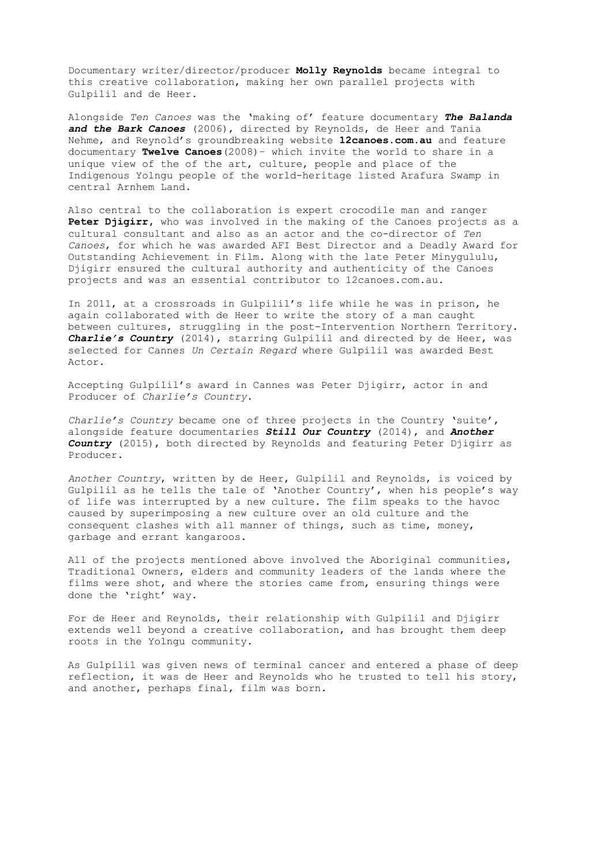Documentary writer/director/producer **Molly Reynolds** became integral to this creative collaboration, making her own parallel projects with Gulpilil and de Heer.

Alongside *Ten Canoes* was the 'making of' feature documentary *The Balanda*  and the Bark Canoes (2006), directed by Reynolds, de Heer and Tania Nehme, and Reynold's groundbreaking website **12canoes.com.au** and feature documentary **Twelve Canoes**(2008)– which invite the world to share in a unique view of the of the art, culture, people and place of the Indigenous Yolngu people of the world-heritage listed Arafura Swamp in central Arnhem Land.

Also central to the collaboration is expert crocodile man and ranger **Peter Djigirr,** who was involved in the making of the Canoes projects as a cultural consultant and also as an actor and the co-director of *Ten Canoes*, for which he was awarded AFI Best Director and a Deadly Award for Outstanding Achievement in Film. Along with the late Peter Minygululu, Diigirr ensured the cultural authority and authenticity of the Canoes projects and was an essential contributor to 12canoes.com.au.

In 2011, at a crossroads in Gulpilil's life while he was in prison, he again collaborated with de Heer to write the story of a man caught between cultures, struggling in the post-Intervention Northern Territory. *Charlie's Country* (2014), starring Gulpilil and directed by de Heer, was selected for Cannes *Un Certain Regard* where Gulpilil was awarded Best Actor.

Accepting Gulpilil's award in Cannes was Peter Djigirr, actor in and Producer of *Charlie's Country*.

*Charlie's Country* became one of three projects in the Country 'suite', alongside feature documentaries *Still Our Country* (2014), and *Another Country* (2015), both directed by Reynolds and featuring Peter Djigirr as Producer.

*Another Country*, written by de Heer, Gulpilil and Reynolds, is voiced by Gulpilil as he tells the tale of 'Another Country', when his people's way of life was interrupted by a new culture. The film speaks to the havoc caused by superimposing a new culture over an old culture and the consequent clashes with all manner of things, such as time, money, garbage and errant kangaroos.

All of the projects mentioned above involved the Aboriginal communities, Traditional Owners, elders and community leaders of the lands where the films were shot, and where the stories came from, ensuring things were done the 'right' way.

For de Heer and Reynolds, their relationship with Gulpilil and Djigirr extends well beyond a creative collaboration, and has brought them deep roots in the Yolngu community.

As Gulpilil was given news of terminal cancer and entered a phase of deep reflection, it was de Heer and Reynolds who he trusted to tell his story, and another, perhaps final, film was born.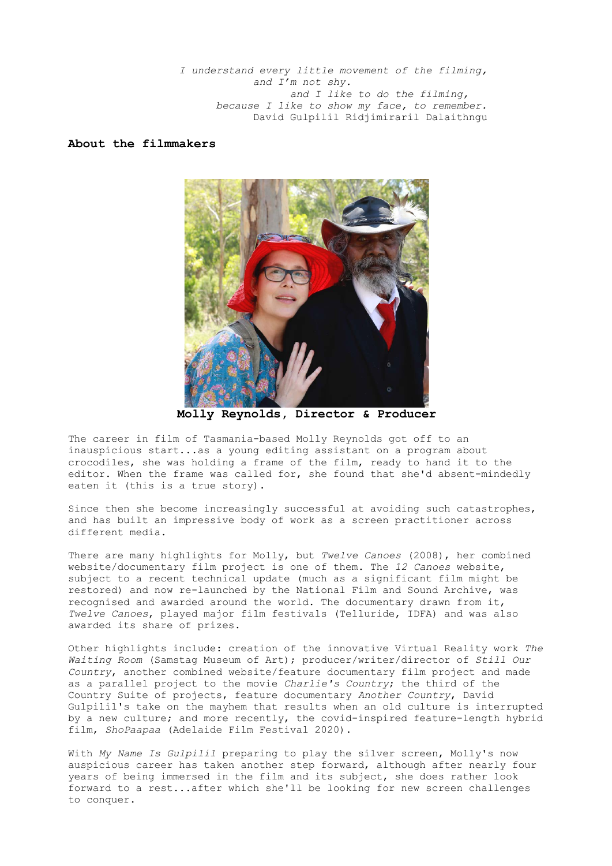*I understand every little movement of the filming, and I'm not shy. and I like to do the filming, because I like to show my face, to remember.* David Gulpilil Ridjimiraril Dalaithngu

## **About the filmmakers**



**Molly Reynolds, Director & Producer**

The career in film of Tasmania-based Molly Reynolds got off to an inauspicious start...as a young editing assistant on a program about crocodiles, she was holding a frame of the film, ready to hand it to the editor. When the frame was called for, she found that she'd absent-mindedly eaten it (this is a true story).

Since then she become increasingly successful at avoiding such catastrophes, and has built an impressive body of work as a screen practitioner across different media.

There are many highlights for Molly, but *Twelve Canoes* (2008), her combined website/documentary film project is one of them. The *12 Canoes* website, subject to a recent technical update (much as a significant film might be restored) and now re-launched by the National Film and Sound Archive, was recognised and awarded around the world. The documentary drawn from it, *Twelve Canoes*, played major film festivals (Telluride, IDFA) and was also awarded its share of prizes.

Other highlights include: creation of the innovative Virtual Reality work *The Waiting Room* (Samstag Museum of Art); producer/writer/director of *Still Our Country*, another combined website/feature documentary film project and made as a parallel project to the movie *Charlie's Country*; the third of the Country Suite of projects, feature documentary *Another Country*, David Gulpilil's take on the mayhem that results when an old culture is interrupted by a new culture; and more recently, the covid-inspired feature-length hybrid film, *ShoPaapaa* (Adelaide Film Festival 2020).

With *My Name Is Gulpilil* preparing to play the silver screen, Molly's now auspicious career has taken another step forward, although after nearly four years of being immersed in the film and its subject, she does rather look forward to a rest...after which she'll be looking for new screen challenges to conquer.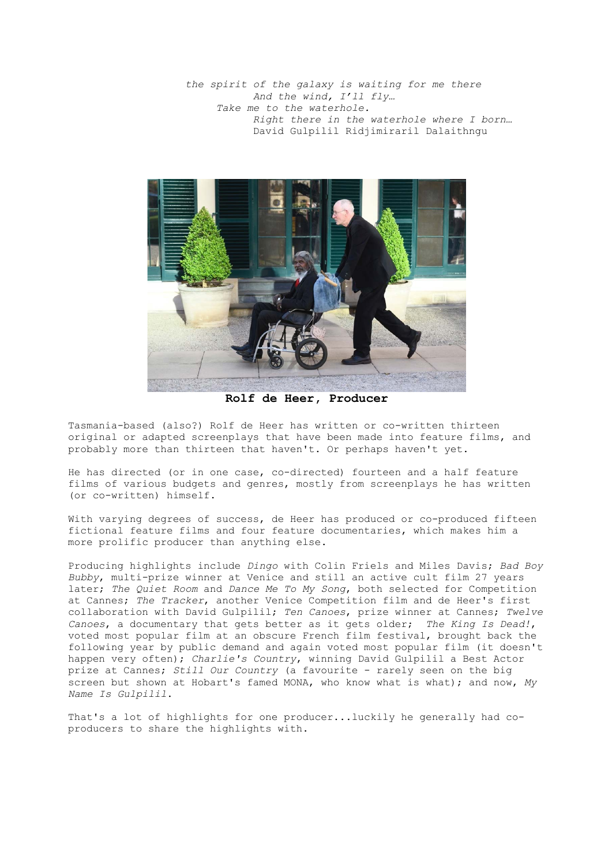*the spirit of the galaxy is waiting for me there And the wind, I'll fly… Take me to the waterhole. Right there in the waterhole where I born…* David Gulpilil Ridjimiraril Dalaithngu



**Rolf de Heer, Producer**

Tasmania-based (also?) Rolf de Heer has written or co-written thirteen original or adapted screenplays that have been made into feature films, and probably more than thirteen that haven't. Or perhaps haven't yet.

He has directed (or in one case, co-directed) fourteen and a half feature films of various budgets and genres, mostly from screenplays he has written (or co-written) himself.

With varying degrees of success, de Heer has produced or co-produced fifteen fictional feature films and four feature documentaries, which makes him a more prolific producer than anything else.

Producing highlights include *Dingo* with Colin Friels and Miles Davis; *Bad Boy Bubby*, multi-prize winner at Venice and still an active cult film 27 years later; *The Quiet Room* and *Dance Me To My Song*, both selected for Competition at Cannes; *The Tracker*, another Venice Competition film and de Heer's first collaboration with David Gulpilil; *Ten Canoes*, prize winner at Cannes; *Twelve Canoes*, a documentary that gets better as it gets older; *The King Is Dead!*, voted most popular film at an obscure French film festival, brought back the following year by public demand and again voted most popular film (it doesn't happen very often); *Charlie's Country*, winning David Gulpilil a Best Actor prize at Cannes; *Still Our Country* (a favourite - rarely seen on the big screen but shown at Hobart's famed MONA, who know what is what); and now, *My Name Is Gulpilil*.

That's a lot of highlights for one producer...luckily he generally had coproducers to share the highlights with.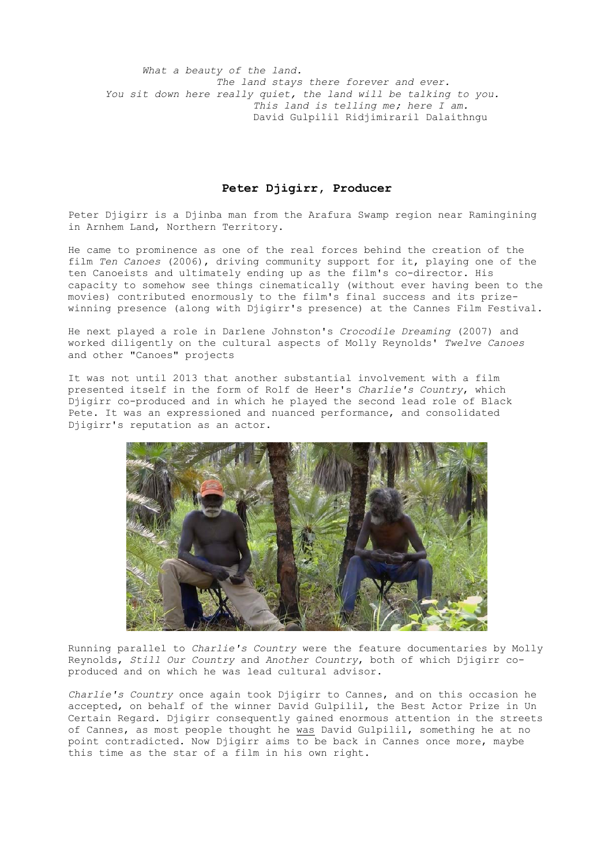*What a beauty of the land. The land stays there forever and ever. You sit down here really quiet, the land will be talking to you. This land is telling me; here I am.* David Gulpilil Ridjimiraril Dalaithngu

### **Peter Djigirr, Producer**

Peter Djigirr is a Djinba man from the Arafura Swamp region near Ramingining in Arnhem Land, Northern Territory.

He came to prominence as one of the real forces behind the creation of the film *Ten Canoes* (2006), driving community support for it, playing one of the ten Canoeists and ultimately ending up as the film's co-director. His capacity to somehow see things cinematically (without ever having been to the movies) contributed enormously to the film's final success and its prizewinning presence (along with Djigirr's presence) at the Cannes Film Festival.

He next played a role in Darlene Johnston's *Crocodile Dreaming* (2007) and worked diligently on the cultural aspects of Molly Reynolds' *Twelve Canoes* and other "Canoes" projects

It was not until 2013 that another substantial involvement with a film presented itself in the form of Rolf de Heer's *Charlie's Country*, which Djigirr co-produced and in which he played the second lead role of Black Pete. It was an expressioned and nuanced performance, and consolidated Djigirr's reputation as an actor.



Running parallel to *Charlie's Country* were the feature documentaries by Molly Reynolds, *Still Our Country* and *Another Country*, both of which Djigirr coproduced and on which he was lead cultural advisor.

*Charlie's Country* once again took Djigirr to Cannes, and on this occasion he accepted, on behalf of the winner David Gulpilil, the Best Actor Prize in Un Certain Regard. Djigirr consequently gained enormous attention in the streets of Cannes, as most people thought he was David Gulpilil, something he at no point contradicted. Now Djigirr aims to be back in Cannes once more, maybe this time as the star of a film in his own right.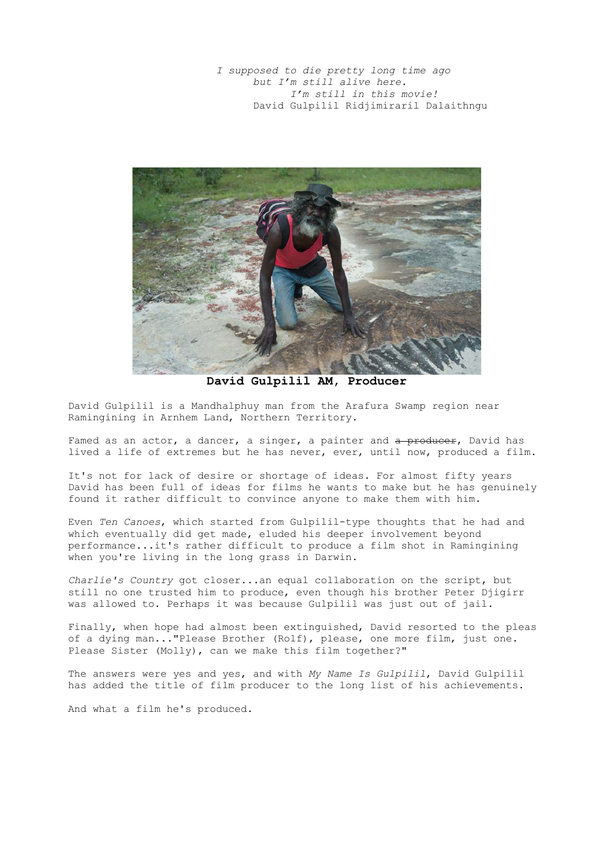*I supposed to die pretty long time ago but I'm still alive here. I'm still in this movie!* David Gulpilil Ridjimiraril Dalaithngu



**David Gulpilil AM, Producer**

David Gulpilil is a Mandhalphuy man from the Arafura Swamp region near Ramingining in Arnhem Land, Northern Territory.

Famed as an actor, a dancer, a singer, a painter and a producer, David has lived a life of extremes but he has never, ever, until now, produced a film.

It's not for lack of desire or shortage of ideas. For almost fifty years David has been full of ideas for films he wants to make but he has genuinely found it rather difficult to convince anyone to make them with him.

Even *Ten Canoes*, which started from Gulpilil-type thoughts that he had and which eventually did get made, eluded his deeper involvement beyond performance...it's rather difficult to produce a film shot in Ramingining when you're living in the long grass in Darwin.

*Charlie's Country* got closer...an equal collaboration on the script, but still no one trusted him to produce, even though his brother Peter Djigirr was allowed to. Perhaps it was because Gulpilil was just out of jail.

Finally, when hope had almost been extinguished, David resorted to the pleas of a dying man..."Please Brother (Rolf), please, one more film, just one. Please Sister (Molly), can we make this film together?"

The answers were yes and yes, and with *My Name Is Gulpilil*, David Gulpilil has added the title of film producer to the long list of his achievements.

And what a film he's produced.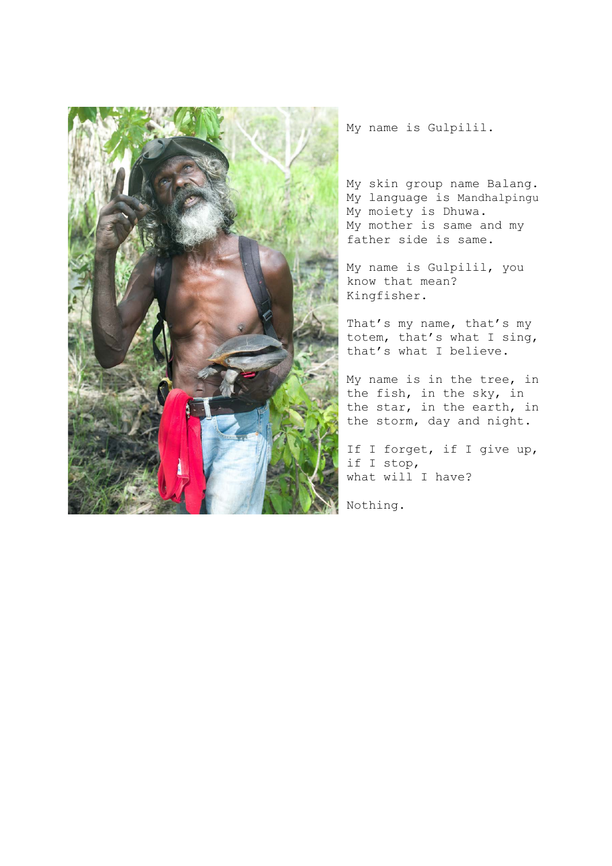

My name is Gulpilil.

My skin group name Balang. My language is Mandhalpingu My moiety is Dhuwa. My mother is same and my father side is same.

My name is Gulpilil, you know that mean? Kingfisher.

That's my name, that's my totem, that's what I sing, that's what I believe.

My name is in the tree, in the fish, in the sky, in the star, in the earth, in the storm, day and night.

If I forget, if I give up, if I stop, what will I have?

Nothing.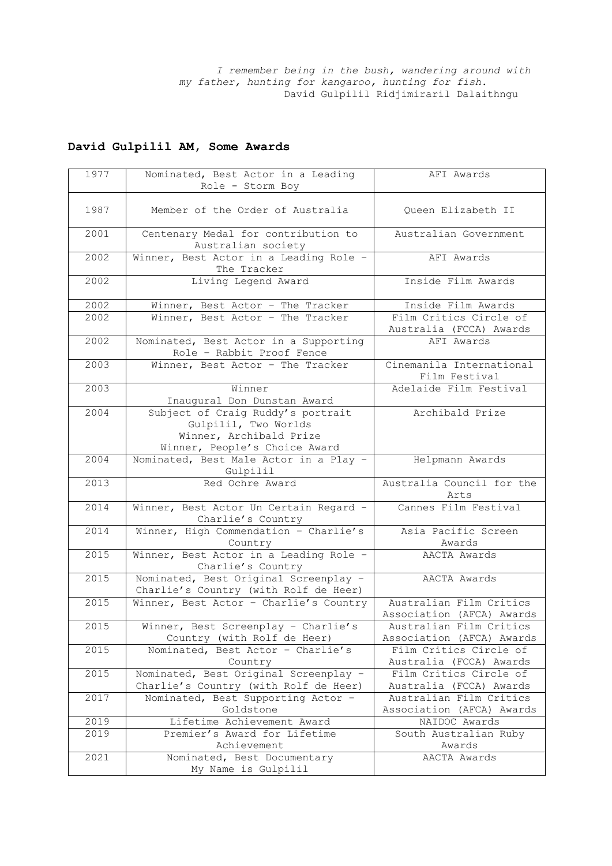*I remember being in the bush, wandering around with my father, hunting for kangaroo, hunting for fish.*  David Gulpilil Ridjimiraril Dalaithngu

# **David Gulpilil AM, Some Awards**

| 1977 | Nominated, Best Actor in a Leading                                 | AFI Awards                        |
|------|--------------------------------------------------------------------|-----------------------------------|
|      | Role - Storm Boy                                                   |                                   |
| 1987 | Member of the Order of Australia                                   |                                   |
|      |                                                                    | Queen Elizabeth II                |
| 2001 | Centenary Medal for contribution to<br>Australian society          | Australian Government             |
| 2002 | Winner, Best Actor in a Leading Role -                             | AFI Awards                        |
|      | The Tracker                                                        |                                   |
| 2002 | Living Legend Award                                                | Inside Film Awards                |
| 2002 | Winner, Best Actor - The Tracker                                   | Inside Film Awards                |
| 2002 | Winner, Best Actor - The Tracker                                   | Film Critics Circle of            |
|      |                                                                    | Australia (FCCA) Awards           |
| 2002 | Nominated, Best Actor in a Supporting<br>Role - Rabbit Proof Fence | AFI Awards                        |
| 2003 | Winner, Best Actor - The Tracker                                   | Cinemanila International          |
|      |                                                                    | Film Festival                     |
| 2003 | Winner                                                             | Adelaide Film Festival            |
|      | Inaugural Don Dunstan Award                                        |                                   |
| 2004 | Subject of Craig Ruddy's portrait                                  | Archibald Prize                   |
|      | Gulpilil, Two Worlds                                               |                                   |
|      | Winner, Archibald Prize                                            |                                   |
|      | Winner, People's Choice Award                                      |                                   |
| 2004 | Nominated, Best Male Actor in a Play -                             | Helpmann Awards                   |
|      | Gulpilil                                                           |                                   |
| 2013 | Red Ochre Award                                                    | Australia Council for the<br>Arts |
| 2014 | Winner, Best Actor Un Certain Regard -                             | Cannes Film Festival              |
|      | Charlie's Country                                                  |                                   |
| 2014 | Winner, High Commendation - Charlie's                              | Asia Pacific Screen               |
|      | Country                                                            | Awards                            |
| 2015 | Winner, Best Actor in a Leading Role -<br>Charlie's Country        | AACTA Awards                      |
| 2015 | Nominated, Best Original Screenplay -                              | AACTA Awards                      |
|      | Charlie's Country (with Rolf de Heer)                              |                                   |
| 2015 | Winner, Best Actor - Charlie's Country                             | Australian Film Critics           |
|      |                                                                    | Association (AFCA) Awards         |
| 2015 | Winner, Best Screenplay - Charlie's                                | Australian Film Critics           |
|      | Country (with Rolf de Heer)                                        | Association (AFCA) Awards         |
| 2015 | Nominated, Best Actor - Charlie's                                  | Film Critics Circle of            |
|      | Country                                                            | Australia (FCCA) Awards           |
| 2015 | Nominated, Best Original Screenplay -                              | Film Critics Circle of            |
|      | Charlie's Country (with Rolf de Heer)                              | Australia (FCCA) Awards           |
| 2017 | Nominated, Best Supporting Actor -                                 | Australian Film Critics           |
|      | Goldstone                                                          | Association (AFCA) Awards         |
| 2019 | Lifetime Achievement Award                                         | NAIDOC Awards                     |
| 2019 | Premier's Award for Lifetime                                       | South Australian Ruby             |
|      | Achievement                                                        | Awards                            |
| 2021 | Nominated, Best Documentary                                        | AACTA Awards                      |
|      | My Name is Gulpilil                                                |                                   |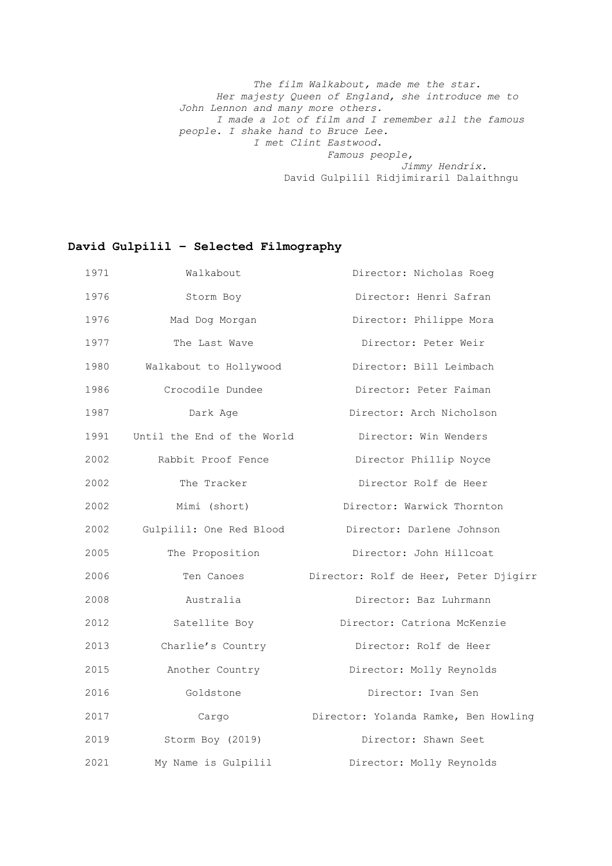*The film Walkabout, made me the star. Her majesty Queen of England, she introduce me to John Lennon and many more others. I made a lot of film and I remember all the famous people. I shake hand to Bruce Lee. I met Clint Eastwood. Famous people, Jimmy Hendrix.*  David Gulpilil Ridjimiraril Dalaithngu

# **David Gulpilil – Selected Filmography**

| 1971 | Walkabout                  | Director: Nicholas Roeg               |
|------|----------------------------|---------------------------------------|
| 1976 | Storm Boy                  | Director: Henri Safran                |
| 1976 | Mad Dog Morgan             | Director: Philippe Mora               |
| 1977 | The Last Wave              | Director: Peter Weir                  |
| 1980 | Walkabout to Hollywood     | Director: Bill Leimbach               |
| 1986 | Crocodile Dundee           | Director: Peter Faiman                |
| 1987 | Dark Age                   | Director: Arch Nicholson              |
| 1991 | Until the End of the World | Director: Win Wenders                 |
| 2002 | Rabbit Proof Fence         | Director Phillip Noyce                |
| 2002 | The Tracker                | Director Rolf de Heer                 |
| 2002 | Mimi (short)               | Director: Warwick Thornton            |
| 2002 | Gulpilil: One Red Blood    | Director: Darlene Johnson             |
| 2005 | The Proposition            | Director: John Hillcoat               |
| 2006 | Ten Canoes                 | Director: Rolf de Heer, Peter Djigirr |
| 2008 | Australia                  | Director: Baz Luhrmann                |
| 2012 | Satellite Boy              | Director: Catriona McKenzie           |
| 2013 | Charlie's Country          | Director: Rolf de Heer                |
| 2015 | Another Country            | Director: Molly Reynolds              |
| 2016 | Goldstone                  | Director: Ivan Sen                    |
| 2017 | Cargo                      | Director: Yolanda Ramke, Ben Howling  |
| 2019 | Storm Boy (2019)           | Director: Shawn Seet                  |
| 2021 | My Name is Gulpilil        | Director: Molly Reynolds              |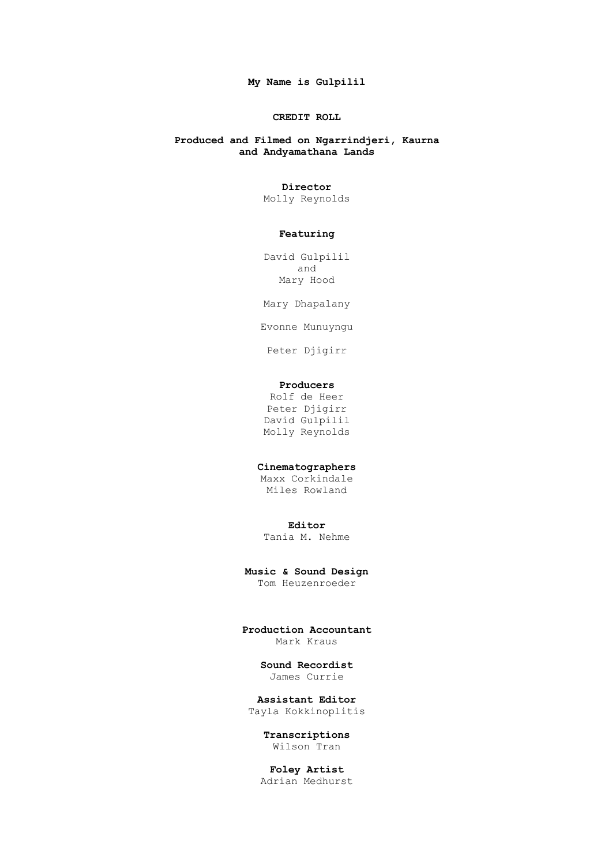**My Name is Gulpilil**

### **CREDIT ROLL**

## **Produced and Filmed on Ngarrindjeri, Kaurna and Andyamathana Lands**

#### **Director**

Molly Reynolds

### **Featuring**

David Gulpilil and Mary Hood

Mary Dhapalany

Evonne Munuyngu

Peter Djigirr

## **Producers**

Rolf de Heer Peter Djigirr David Gulpilil Molly Reynolds

## **Cinematographers**

Maxx Corkindale Miles Rowland

## **Editor**

Tania M. Nehme

**Music & Sound Design**

Tom Heuzenroeder

**Production Accountant** Mark Kraus

#### **Sound Recordist** James Currie

**Assistant Editor** Tayla Kokkinoplitis

> **Transcriptions** Wilson Tran

**Foley Artist** Adrian Medhurst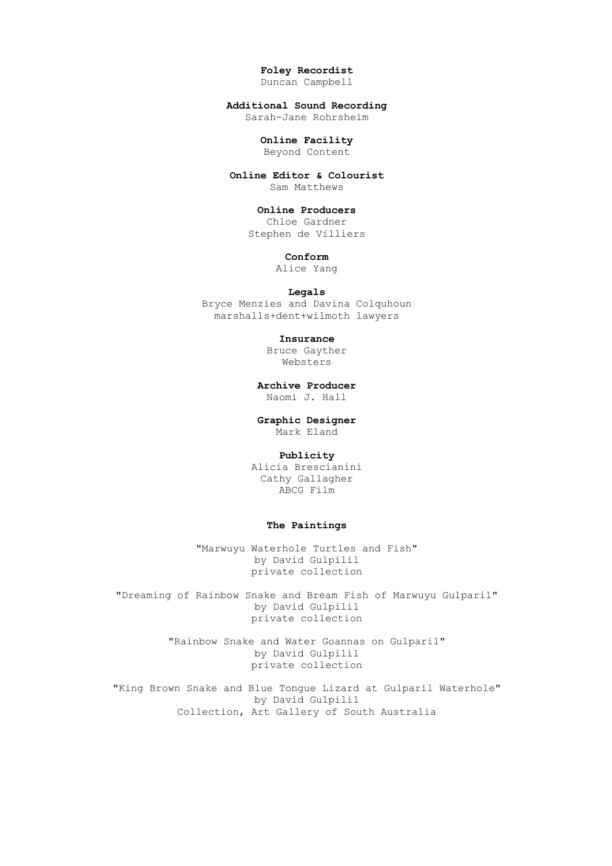**Foley Recordist** Duncan Campbell

**Additional Sound Recording**

Sarah-Jane Rohrsheim

# **Online Facility**

Beyond Content

**Online Editor & Colourist** Sam Matthews

#### **Online Producers**

Chloe Gardner Stephen de Villiers

**Conform**

Alice Yang

#### **Legals**

Bryce Menzies and Davina Colquhoun marshalls+dent+wilmoth lawyers

**Insurance**

Bruce Gayther Websters

**Archive Producer** Naomi J. Hall

**Graphic Designer** Mark Eland

### **Publicity**

Alicia Brescianini Cathy Gallagher ABCG Film

### **The Paintings**

"Marwuyu Waterhole Turtles and Fish" by David Gulpilil private collection

"Dreaming of Rainbow Snake and Bream Fish of Marwuyu Gulparil" by David Gulpilil private collection

> "Rainbow Snake and Water Goannas on Gulparil" by David Gulpilil private collection

"King Brown Snake and Blue Tongue Lizard at Gulparil Waterhole" by David Gulpilil Collection, Art Gallery of South Australia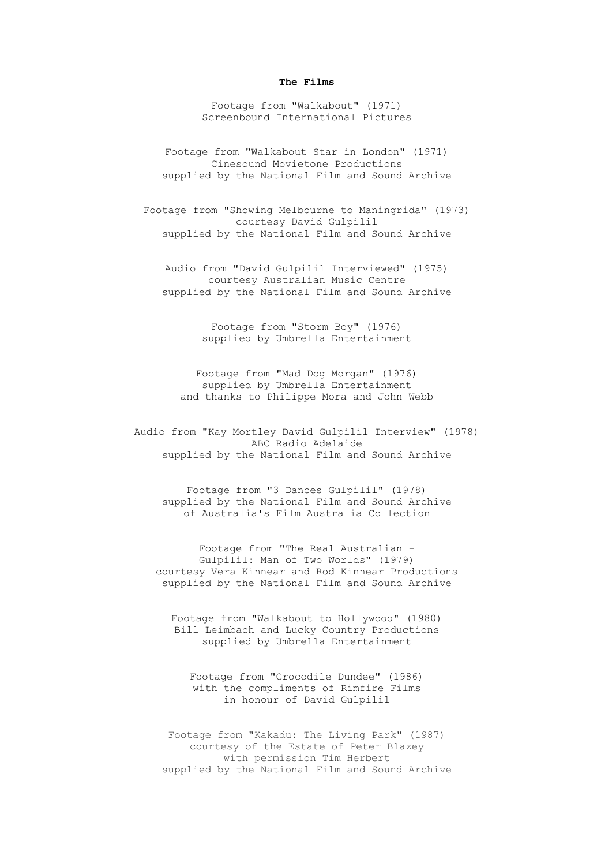#### **The Films**

Footage from "Walkabout" (1971) Screenbound International Pictures

Footage from "Walkabout Star in London" (1971) Cinesound Movietone Productions supplied by the National Film and Sound Archive

Footage from "Showing Melbourne to Maningrida" (1973) courtesy David Gulpilil supplied by the National Film and Sound Archive

Audio from "David Gulpilil Interviewed" (1975) courtesy Australian Music Centre supplied by the National Film and Sound Archive

> Footage from "Storm Boy" (1976) supplied by Umbrella Entertainment

Footage from "Mad Dog Morgan" (1976) supplied by Umbrella Entertainment and thanks to Philippe Mora and John Webb

Audio from "Kay Mortley David Gulpilil Interview" (1978) ABC Radio Adelaide supplied by the National Film and Sound Archive

Footage from "3 Dances Gulpilil" (1978) supplied by the National Film and Sound Archive of Australia's Film Australia Collection

Footage from "The Real Australian - Gulpilil: Man of Two Worlds" (1979) courtesy Vera Kinnear and Rod Kinnear Productions supplied by the National Film and Sound Archive

Footage from "Walkabout to Hollywood" (1980) Bill Leimbach and Lucky Country Productions supplied by Umbrella Entertainment

Footage from "Crocodile Dundee" (1986) with the compliments of Rimfire Films in honour of David Gulpilil

Footage from "Kakadu: The Living Park" (1987) courtesy of the Estate of Peter Blazey with permission Tim Herbert supplied by the National Film and Sound Archive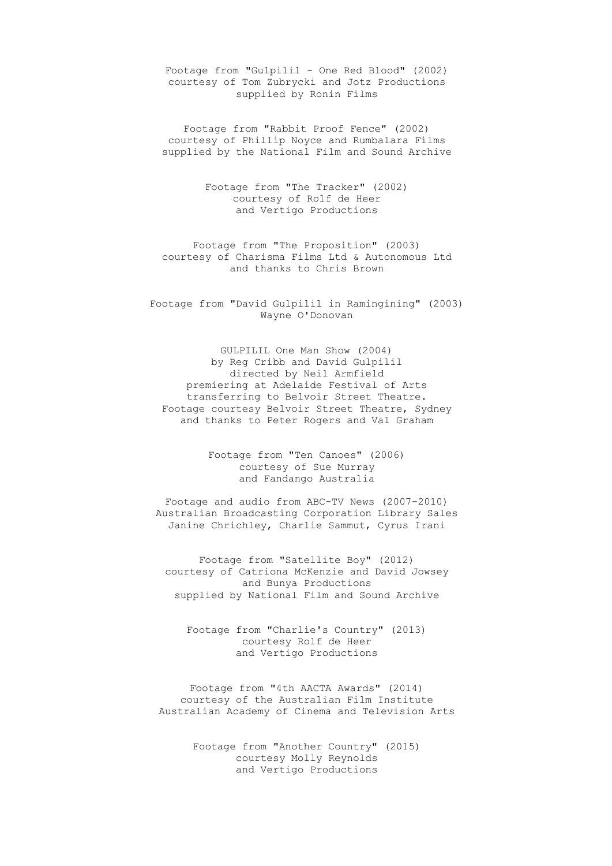Footage from "Gulpilil - One Red Blood" (2002) courtesy of Tom Zubrycki and Jotz Productions supplied by Ronin Films

Footage from "Rabbit Proof Fence" (2002) courtesy of Phillip Noyce and Rumbalara Films supplied by the National Film and Sound Archive

> Footage from "The Tracker" (2002) courtesy of Rolf de Heer and Vertigo Productions

Footage from "The Proposition" (2003) courtesy of Charisma Films Ltd & Autonomous Ltd and thanks to Chris Brown

Footage from "David Gulpilil in Ramingining" (2003) Wayne O'Donovan

GULPILIL One Man Show (2004) by Reg Cribb and David Gulpilil directed by Neil Armfield premiering at Adelaide Festival of Arts transferring to Belvoir Street Theatre. Footage courtesy Belvoir Street Theatre, Sydney and thanks to Peter Rogers and Val Graham

> Footage from "Ten Canoes" (2006) courtesy of Sue Murray and Fandango Australia

Footage and audio from ABC-TV News (2007-2010) Australian Broadcasting Corporation Library Sales Janine Chrichley, Charlie Sammut, Cyrus Irani

Footage from "Satellite Boy" (2012) courtesy of Catriona McKenzie and David Jowsey and Bunya Productions supplied by National Film and Sound Archive

Footage from "Charlie's Country" (2013) courtesy Rolf de Heer and Vertigo Productions

Footage from "4th AACTA Awards" (2014) courtesy of the Australian Film Institute Australian Academy of Cinema and Television Arts

> Footage from "Another Country" (2015) courtesy Molly Reynolds and Vertigo Productions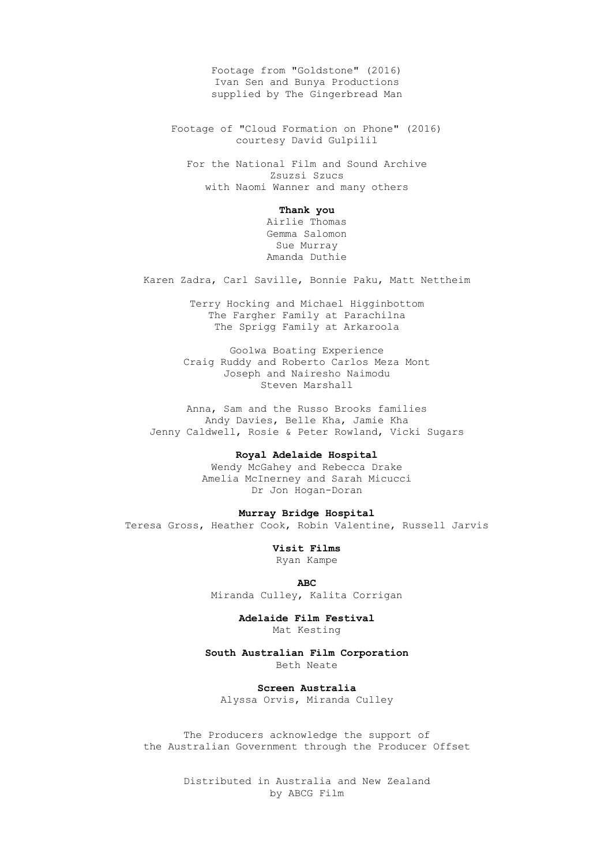Footage from "Goldstone" (2016) Ivan Sen and Bunya Productions supplied by The Gingerbread Man

Footage of "Cloud Formation on Phone" (2016) courtesy David Gulpilil

For the National Film and Sound Archive Zsuzsi Szucs with Naomi Wanner and many others

#### **Thank you**

Airlie Thomas Gemma Salomon Sue Murray Amanda Duthie

Karen Zadra, Carl Saville, Bonnie Paku, Matt Nettheim

Terry Hocking and Michael Higginbottom The Fargher Family at Parachilna The Sprigg Family at Arkaroola

Goolwa Boating Experience Craig Ruddy and Roberto Carlos Meza Mont Joseph and Nairesho Naimodu Steven Marshall

Anna, Sam and the Russo Brooks families Andy Davies, Belle Kha, Jamie Kha Jenny Caldwell, Rosie & Peter Rowland, Vicki Sugars

#### **Royal Adelaide Hospital**

Wendy McGahey and Rebecca Drake Amelia McInerney and Sarah Micucci Dr Jon Hogan-Doran

#### **Murray Bridge Hospital**

Teresa Gross, Heather Cook, Robin Valentine, Russell Jarvis

**Visit Films**

Ryan Kampe

#### **ABC**

Miranda Culley, Kalita Corrigan

# **Adelaide Film Festival**

Mat Kesting

#### **South Australian Film Corporation** Beth Neate

**Screen Australia** Alyssa Orvis, Miranda Culley

The Producers acknowledge the support of the Australian Government through the Producer Offset

> Distributed in Australia and New Zealand by ABCG Film